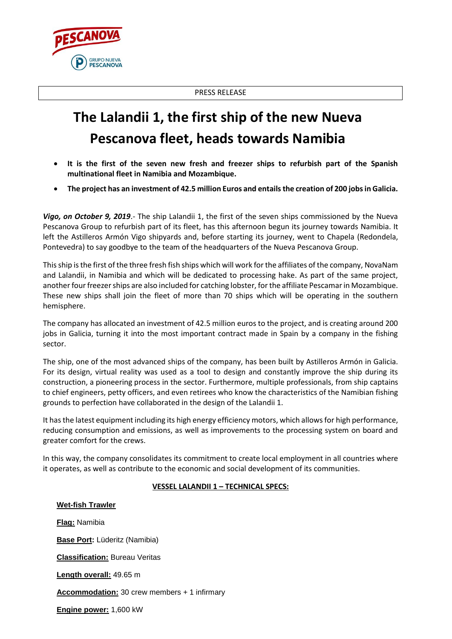PRESS RELEASE

## **The Lalandii 1, the first ship of the new Nueva Pescanova fleet, heads towards Namibia**

- **It is the first of the seven new fresh and freezer ships to refurbish part of the Spanish multinational fleet in Namibia and Mozambique.**
- **The project has an investment of 42.5 million Euros and entails the creation of 200 jobs in Galicia.**

*Vigo, on October 9, 2019*.- The ship Lalandii 1, the first of the seven ships commissioned by the Nueva Pescanova Group to refurbish part of its fleet, has this afternoon begun its journey towards Namibia. It left the Astilleros Armón Vigo shipyards and, before starting its journey, went to Chapela (Redondela, Pontevedra) to say goodbye to the team of the headquarters of the Nueva Pescanova Group.

This ship is the first of the three fresh fish ships which will work for the affiliates of the company, NovaNam and Lalandii, in Namibia and which will be dedicated to processing hake. As part of the same project, another four freezer ships are also included for catching lobster, for the affiliate Pescamar in Mozambique. These new ships shall join the fleet of more than 70 ships which will be operating in the southern hemisphere.

The company has allocated an investment of 42.5 million euros to the project, and is creating around 200 jobs in Galicia, turning it into the most important contract made in Spain by a company in the fishing sector.

The ship, one of the most advanced ships of the company, has been built by Astilleros Armón in Galicia. For its design, virtual reality was used as a tool to design and constantly improve the ship during its construction, a pioneering process in the sector. Furthermore, multiple professionals, from ship captains to chief engineers, petty officers, and even retirees who know the characteristics of the Namibian fishing grounds to perfection have collaborated in the design of the Lalandii 1.

It has the latest equipment including its high energy efficiency motors, which allows for high performance, reducing consumption and emissions, as well as improvements to the processing system on board and greater comfort for the crews.

In this way, the company consolidates its commitment to create local employment in all countries where it operates, as well as contribute to the economic and social development of its communities.

## **VESSEL LALANDII 1 – TECHNICAL SPECS:**

## **Wet-fish Trawler Flag:** Namibia **Base Port:** Lüderitz (Namibia) **Classification:** Bureau Veritas **Length overall:** 49.65 m **Accommodation:** 30 crew members + 1 infirmary **Engine power:** 1,600 kW